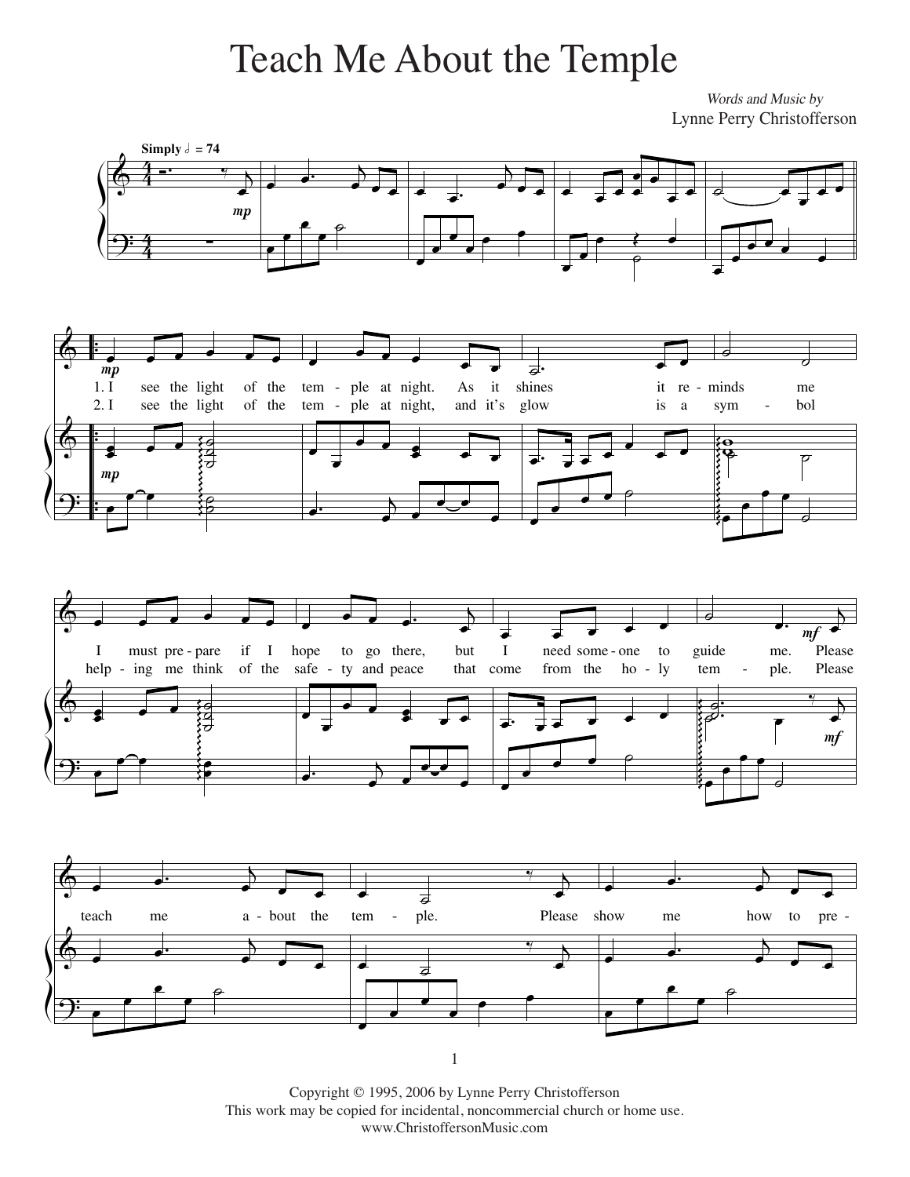## Teach Me About the Temple

*Words and Music by* Words and Music by Lynne Perry Christofferson Lynne Perry Christofferson



Copyright © 1995, 2006 by Lynne Perry Christofferson This work may be copied for incidental, noncommercial church or home use. www.ChristoffersonMusic.com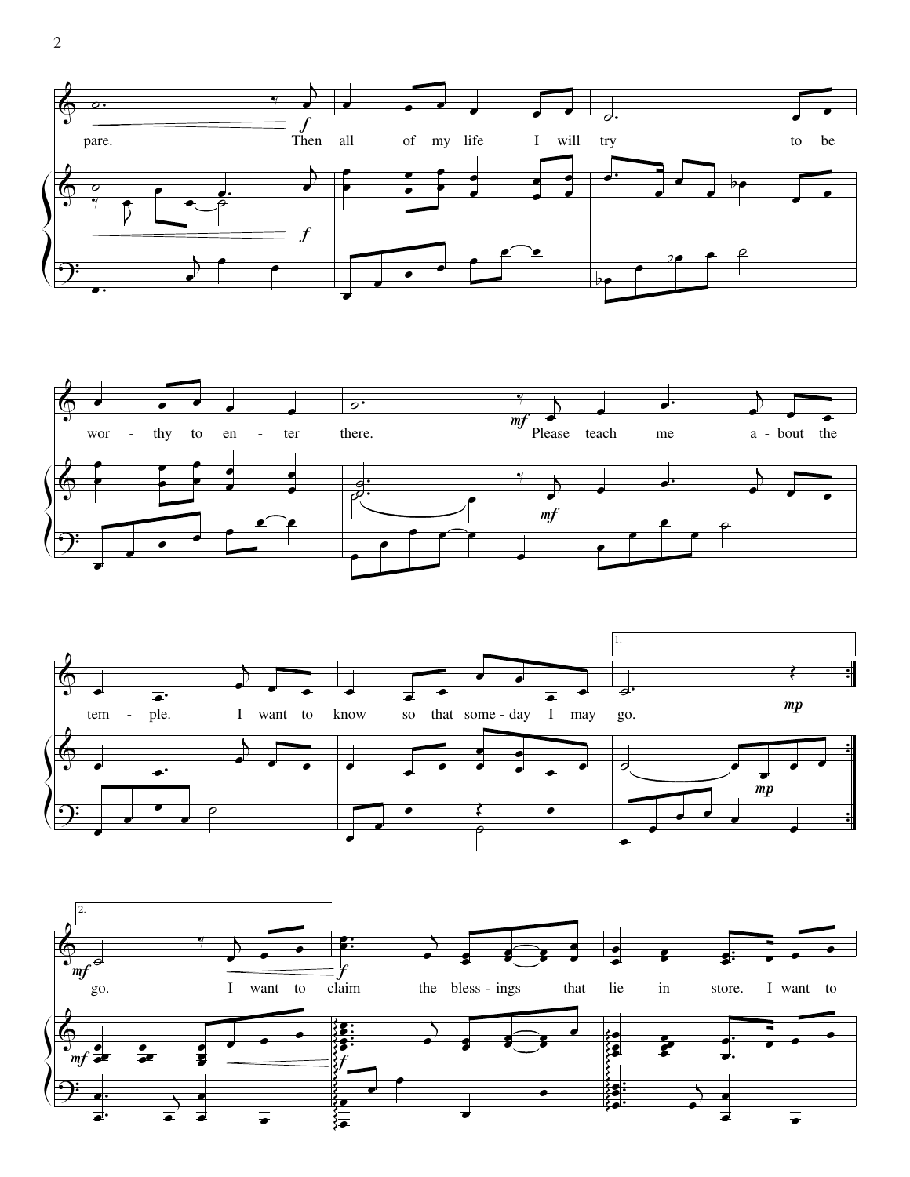